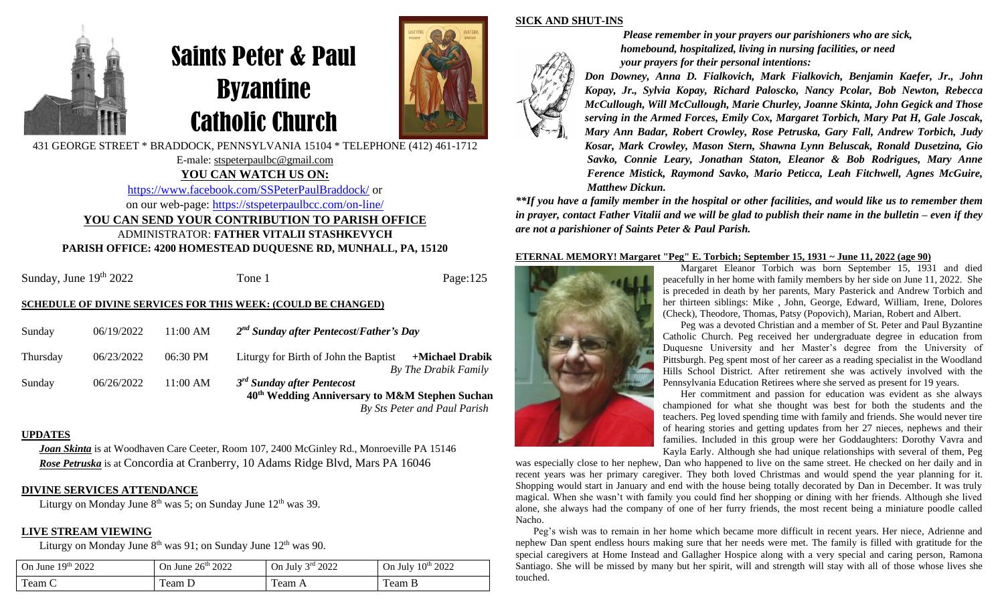

# Saints Peter & Paul Byzantine Catholic Church

E-male: stspeterpaulbc@gmail.com **YOU CAN WATCH US ON:** <https://www.facebook.com/SSPeterPaulBraddock/> or on our web-page: <https://stspeterpaulbcc.com/on-line/> **YOU CAN SEND YOUR CONTRIBUTION TO PARISH OFFICE** ADMINISTRATOR: **FATHER VITALII STASHKEVYCH PARISH OFFICE: 4200 HOMESTEAD DUQUESNE RD, MUNHALL, PA, 15120**



*Please remember in your prayers our parishioners who are sick, homebound, hospitalized, living in nursing facilities, or need your prayers for their personal intentions:*

*Don Downey, Anna D. Fialkovich, Mark Fialkovich, Benjamin Kaefer, Jr., John Kopay, Jr., Sylvia Kopay, Richard Paloscko, Nancy Pcolar, Bob Newton, Rebecca McCullough, Will McCullough, Marie Churley, Joanne Skinta, John Gegick and Those serving in the Armed Forces, Emily Cox, Margaret Torbich, Mary Pat H, Gale Joscak, Mary Ann Badar, Robert Crowley, Rose Petruska, Gary Fall, Andrew Torbich, Judy Kosar, Mark Crowley, Mason Stern, Shawna Lynn Beluscak, Ronald Dusetzina, Gio Savko, Connie Leary, Jonathan Staton, Eleanor & Bob Rodrigues, Mary Anne Ference Mistick, Raymond Savko, Mario Peticca, Leah Fitchwell, Agnes McGuire, Matthew Dickun.*

*\*\*If you have a family member in the hospital or other facilities, and would like us to remember them* in prayer, contact Father Vitalii and we will be glad to publish their name in the bulletin – even if they *are not a parishioner of Saints Peter & Paul Parish.*

#### **ETERNAL MEMORY! Margaret "Peg" E. Torbich; September 15, 1931 ~ June 11, 2022 (age 90)**



**SICK AND SHUT-INS**

Margaret Eleanor Torbich was born September 15, 1931 and died peacefully in her home with family members by her side on June 11, 2022. She is preceded in death by her parents, Mary Pasterick and Andrew Torbich and her thirteen siblings: Mike , John, George, Edward, William, Irene, Dolores (Check), Theodore, Thomas, Patsy (Popovich), Marian, Robert and Albert.

Peg was a devoted Christian and a member of St. Peter and Paul Byzantine Catholic Church. Peg received her undergraduate degree in education from Duquesne University and her Master's degree from the University of Pittsburgh. Peg spent most of her career as a reading specialist in the Woodland Hills School District. After retirement she was actively involved with the Pennsylvania Education Retirees where she served as present for 19 years.

Her commitment and passion for education was evident as she always championed for what she thought was best for both the students and the teachers. Peg loved spending time with family and friends. She would never tire of hearing stories and getting updates from her 27 nieces, nephews and their families. Included in this group were her Goddaughters: Dorothy Vavra and Kayla Early. Although she had unique relationships with several of them, Peg

was especially close to her nephew, Dan who happened to live on the same street. He checked on her daily and in recent years was her primary caregiver. They both loved Christmas and would spend the year planning for it. Shopping would start in January and end with the house being totally decorated by Dan in December. It was truly magical. When she wasn't with family you could find her shopping or dining with her friends. Although she lived alone, she always had the company of one of her furry friends, the most recent being a miniature poodle called Nacho.

Peg's wish was to remain in her home which became more difficult in recent years. Her niece, Adrienne and nephew Dan spent endless hours making sure that her needs were met. The family is filled with gratitude for the special caregivers at Home Instead and Gallagher Hospice along with a very special and caring person, Ramona Santiago. She will be missed by many but her spirit, will and strength will stay with all of those whose lives she touched.

Sunday, June 19th 2022

Tone 1 Page:125

#### **SCHEDULE OF DIVINE SERVICES FOR THIS WEEK: (COULD BE CHANGED)**

| Sunday   | 06/19/2022 | $11:00 \text{ AM}$ | $2nd$ Sunday after Pentecost/Father's Day                                                                                    |                              |
|----------|------------|--------------------|------------------------------------------------------------------------------------------------------------------------------|------------------------------|
| Thursday | 06/23/2022 | 06:30 PM           | Liturgy for Birth of John the Baptist                                                                                        | +Michael Drabik              |
| Sunday   | 06/26/2022 | $11:00$ AM         | By The Drabik Family<br>3 <sup>rd</sup> Sunday after Pentecost<br>40 <sup>th</sup> Wedding Anniversary to M&M Stephen Suchan |                              |
|          |            |                    |                                                                                                                              | By Sts Peter and Paul Parish |

**UPDATES**

*Joan Skinta* is at Woodhaven Care Ceeter, Room 107, 2400 McGinley Rd., Monroeville PA 15146 *Rose Petruska* is at Concordia at Cranberry, 10 Adams Ridge Blvd, Mars PA 16046

#### **DIVINE SERVICES ATTENDANCE**

Liturgy on Monday June  $8<sup>th</sup>$  was 5; on Sunday June  $12<sup>th</sup>$  was 39.

#### **LIVE STREAM VIEWING**

Liturgy on Monday June  $8<sup>th</sup>$  was 91; on Sunday June  $12<sup>th</sup>$  was 90.

| 19 <sup>th</sup> 2022<br>On June 1 | 26 <sup>th</sup> 2022<br>On June | On July $3rd$ 2022 | On July 10th 2022 |
|------------------------------------|----------------------------------|--------------------|-------------------|
| $\mathbf{r}$<br>Team C             | eam L                            | Tean A             | l'eam B           |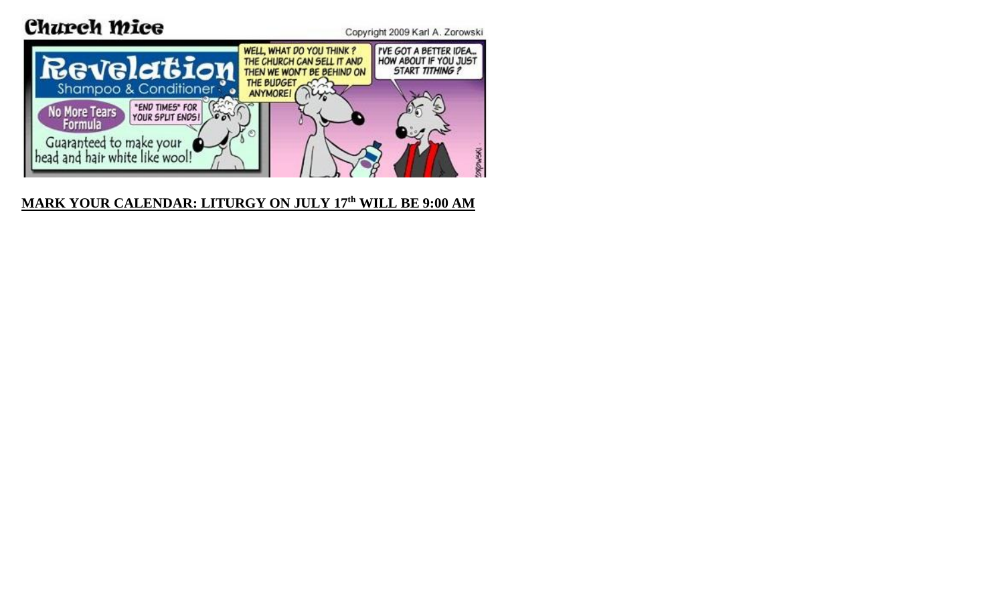# Church Mice





### **MARK YOUR CALENDAR: LITURGY ON JULY 17th WILL BE 9:00 AM**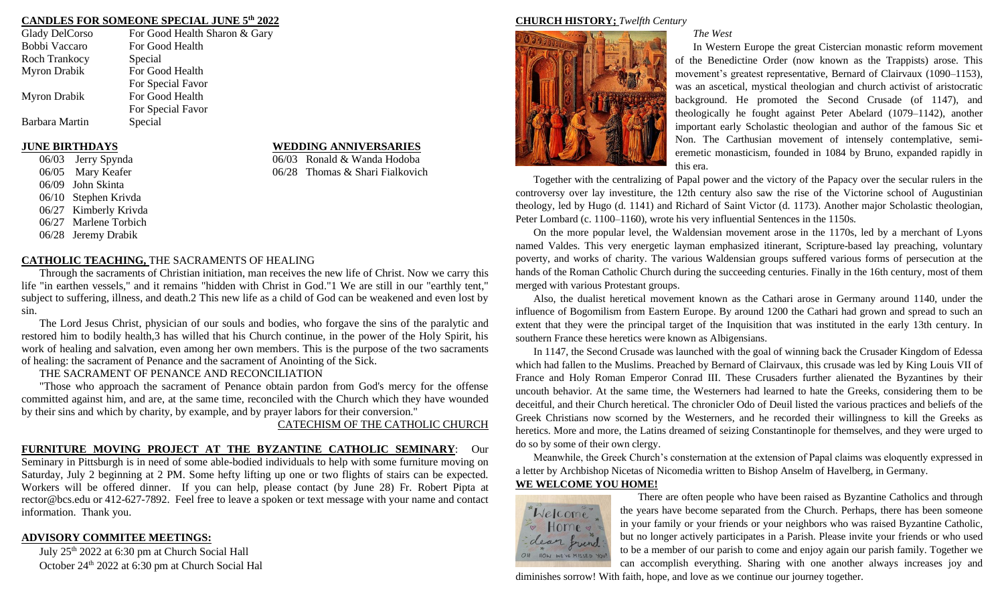#### **CANDLES FOR SOMEONE SPECIAL JUNE 5th 2022**

| Glady DelCorso       | For Good Health Sharon & Gary |
|----------------------|-------------------------------|
| Bobbi Vaccaro        | For Good Health               |
| <b>Roch Trankocy</b> | Special                       |
| <b>Myron Drabik</b>  | For Good Health               |
|                      | For Special Favor             |
| Myron Drabik         | For Good Health               |
|                      | For Special Favor             |
| Barbara Martin       | Special                       |
|                      |                               |

06/03 Jerry Spynda 06/03 Ronald & Wanda Hodoba 06/09 John Skinta 06/10 Stephen Krivda 06/27 Kimberly Krivda 06/27 Marlene Torbich 06/28 Jeremy Drabik

#### **CATHOLIC TEACHING,** THE SACRAMENTS OF HEALING

Through the sacraments of Christian initiation, man receives the new life of Christ. Now we carry this life "in earthen vessels," and it remains "hidden with Christ in God."1 We are still in our "earthly tent," subject to suffering, illness, and death.2 This new life as a child of God can be weakened and even lost by sin.

The Lord Jesus Christ, physician of our souls and bodies, who forgave the sins of the paralytic and restored him to bodily health,3 has willed that his Church continue, in the power of the Holy Spirit, his work of healing and salvation, even among her own members. This is the purpose of the two sacraments of healing: the sacrament of Penance and the sacrament of Anointing of the Sick.

THE SACRAMENT OF PENANCE AND RECONCILIATION

"Those who approach the sacrament of Penance obtain pardon from God's mercy for the offense committed against him, and are, at the same time, reconciled with the Church which they have wounded by their sins and which by charity, by example, and by prayer labors for their conversion."

CATECHISM OF THE CATHOLIC CHURCH

#### **FURNITURE MOVING PROJECT AT THE BYZANTINE CATHOLIC SEMINARY**: Our

Seminary in Pittsburgh is in need of some able-bodied individuals to help with some furniture moving on Saturday, July 2 beginning at 2 PM. Some hefty lifting up one or two flights of stairs can be expected. Workers will be offered dinner. If you can help, please contact (by June 28) Fr. Robert Pipta at rector@bcs.edu or 412-627-7892. Feel free to leave a spoken or text message with your name and contact information. Thank you.

#### **ADVISORY COMMITEE MEETINGS:**

July 25th 2022 at 6:30 pm at Church Social Hall October 24th 2022 at 6:30 pm at Church Social Hal

#### **JUNE BIRTHDAYS WEDDING ANNIVERSARIES**

06/05 Mary Keafer 06/28 Thomas & Shari Fialkovich

#### **CHURCH HISTORY;** *Twelfth Century*



#### *The West*

In Western Europe the great Cistercian monastic reform movement of the Benedictine Order (now known as the Trappists) arose. This movement's greatest representative, Bernard of Clairvaux (1090–1153), was an ascetical, mystical theologian and church activist of aristocratic background. He promoted the Second Crusade (of 1147), and theologically he fought against Peter Abelard (1079–1142), another important early Scholastic theologian and author of the famous Sic et Non. The Carthusian movement of intensely contemplative, semieremetic monasticism, founded in 1084 by Bruno, expanded rapidly in this era.

Together with the centralizing of Papal power and the victory of the Papacy over the secular rulers in the controversy over lay investiture, the 12th century also saw the rise of the Victorine school of Augustinian theology, led by Hugo (d. 1141) and Richard of Saint Victor (d. 1173). Another major Scholastic theologian, Peter Lombard (c. 1100–1160), wrote his very influential Sentences in the 1150s.

On the more popular level, the Waldensian movement arose in the 1170s, led by a merchant of Lyons named Valdes. This very energetic layman emphasized itinerant, Scripture-based lay preaching, voluntary poverty, and works of charity. The various Waldensian groups suffered various forms of persecution at the hands of the Roman Catholic Church during the succeeding centuries. Finally in the 16th century, most of them merged with various Protestant groups.

Also, the dualist heretical movement known as the Cathari arose in Germany around 1140, under the influence of Bogomilism from Eastern Europe. By around 1200 the Cathari had grown and spread to such an extent that they were the principal target of the Inquisition that was instituted in the early 13th century. In southern France these heretics were known as Albigensians.

In 1147, the Second Crusade was launched with the goal of winning back the Crusader Kingdom of Edessa which had fallen to the Muslims. Preached by Bernard of Clairvaux, this crusade was led by King Louis VII of France and Holy Roman Emperor Conrad III. These Crusaders further alienated the Byzantines by their uncouth behavior. At the same time, the Westerners had learned to hate the Greeks, considering them to be deceitful, and their Church heretical. The chronicler Odo of Deuil listed the various practices and beliefs of the Greek Christians now scorned by the Westerners, and he recorded their willingness to kill the Greeks as heretics. More and more, the Latins dreamed of seizing Constantinople for themselves, and they were urged to do so by some of their own clergy.

Meanwhile, the Greek Church's consternation at the extension of Papal claims was eloquently expressed in a letter by Archbishop Nicetas of Nicomedia written to Bishop Anselm of Havelberg, in Germany. **WE WELCOME YOU HOME!**



There are often people who have been raised as Byzantine Catholics and through the years have become separated from the Church. Perhaps, there has been someone in your family or your friends or your neighbors who was raised Byzantine Catholic, but no longer actively participates in a Parish. Please invite your friends or who used to be a member of our parish to come and enjoy again our parish family. Together we can accomplish everything. Sharing with one another always increases joy and

diminishes sorrow! With faith, hope, and love as we continue our journey together.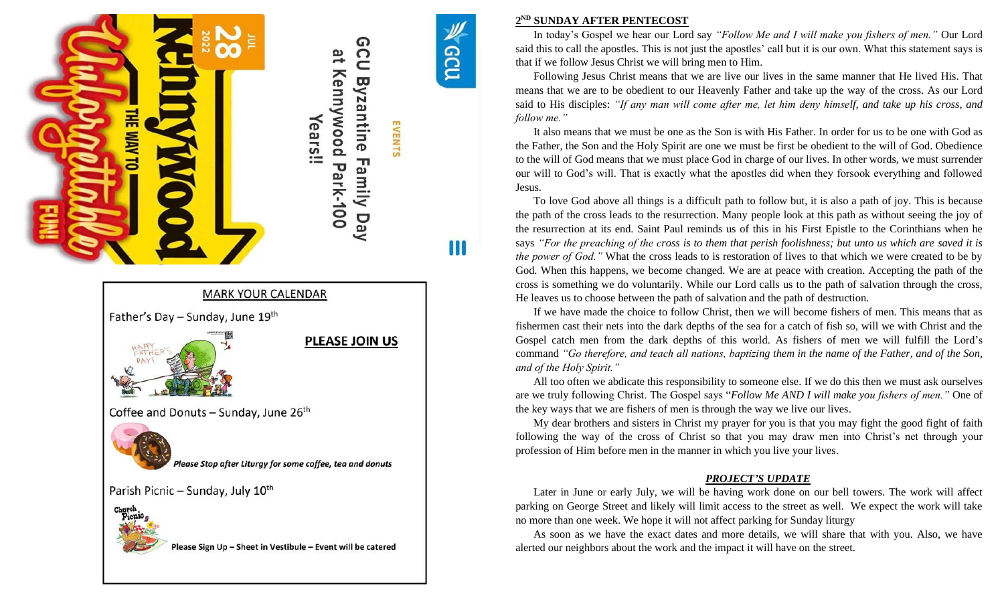



#### **2 ND SUNDAY AFTER PENTECOST**

Ш

In today's Gospel we hear our Lord say *"Follow Me and I will make you fishers of men."* Our Lord said this to call the apostles. This is not just the apostles' call but it is our own. What this statement says is that if we follow Jesus Christ we will bring men to Him.

Following Jesus Christ means that we are live our lives in the same manner that He lived His. That means that we are to be obedient to our Heavenly Father and take up the way of the cross. As our Lord said to His disciples: *"If any man will come after me, let him deny himself, and take up his cross, and follow me."*

It also means that we must be one as the Son is with His Father. In order for us to be one with God as the Father, the Son and the Holy Spirit are one we must be first be obedient to the will of God. Obedience to the will of God means that we must place God in charge of our lives. In other words, we must surrender our will to God's will. That is exactly what the apostles did when they forsook everything and followed Jesus.

To love God above all things is a difficult path to follow but, it is also a path of joy. This is because the path of the cross leads to the resurrection. Many people look at this path as without seeing the joy of the resurrection at its end. Saint Paul reminds us of this in his First Epistle to the Corinthians when he says *"For the preaching of the cross is to them that perish foolishness; but unto us which are saved it is the power of God."* What the cross leads to is restoration of lives to that which we were created to be by God. When this happens, we become changed. We are at peace with creation. Accepting the path of the cross is something we do voluntarily. While our Lord calls us to the path of salvation through the cross, He leaves us to choose between the path of salvation and the path of destruction.

If we have made the choice to follow Christ, then we will become fishers of men. This means that as fishermen cast their nets into the dark depths of the sea for a catch of fish so, will we with Christ and the Gospel catch men from the dark depths of this world. As fishers of men we will fulfill the Lord's command *"Go therefore, and teach all nations, baptizing them in the name of the Father, and of the Son, and of the Holy Spirit."*

All too often we abdicate this responsibility to someone else. If we do this then we must ask ourselves are we truly following Christ. The Gospel says "*Follow Me AND I will make you fishers of men."* One of the key ways that we are fishers of men is through the way we live our lives.

My dear brothers and sisters in Christ my prayer for you is that you may fight the good fight of faith following the way of the cross of Christ so that you may draw men into Christ's net through your profession of Him before men in the manner in which you live your lives.

#### *PROJECT'S UPDATE*

Later in June or early July, we will be having work done on our bell towers. The work will affect parking on George Street and likely will limit access to the street as well. We expect the work will take no more than one week. We hope it will not affect parking for Sunday liturgy

As soon as we have the exact dates and more details, we will share that with you. Also, we have alerted our neighbors about the work and the impact it will have on the street.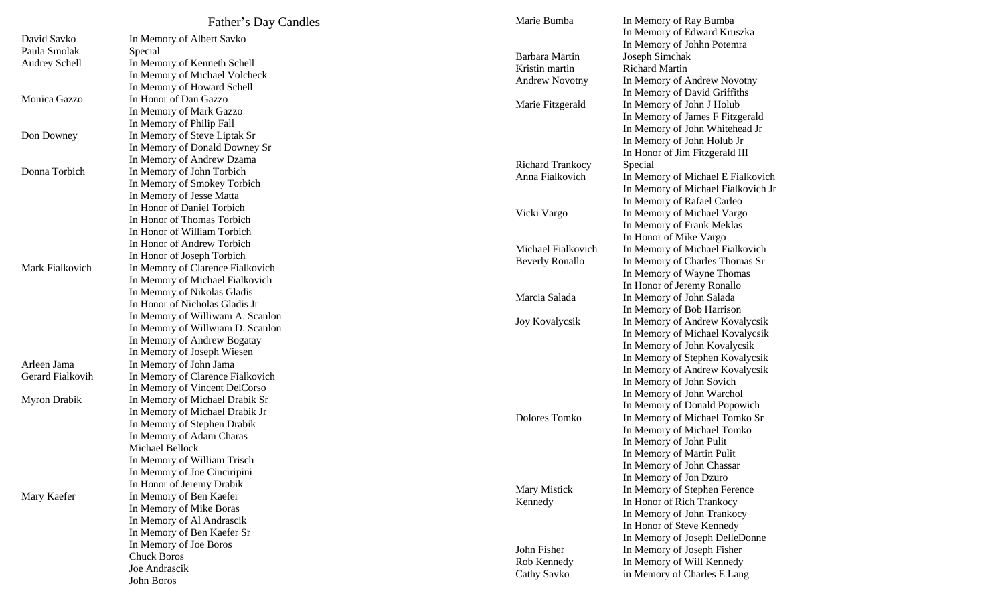|                      | Father's Day Candles                                          | Marie Bumba             | In Memory of Ray Bumba             |
|----------------------|---------------------------------------------------------------|-------------------------|------------------------------------|
| David Savko          | In Memory of Albert Savko                                     |                         | In Memory of Edward Kruszka        |
| Paula Smolak         | Special                                                       |                         | In Memory of Johhn Potemra         |
| <b>Audrey Schell</b> | In Memory of Kenneth Schell                                   | Barbara Martin          | Joseph Simchak                     |
|                      | In Memory of Michael Volcheck                                 | Kristin martin          | <b>Richard Martin</b>              |
|                      | In Memory of Howard Schell                                    | <b>Andrew Novotny</b>   | In Memory of Andrew Novotny        |
| Monica Gazzo         | In Honor of Dan Gazzo                                         |                         | In Memory of David Griffiths       |
|                      | In Memory of Mark Gazzo                                       | Marie Fitzgerald        | In Memory of John J Holub          |
|                      | In Memory of Philip Fall                                      |                         | In Memory of James F Fitzgerald    |
| Don Downey           | In Memory of Steve Liptak Sr                                  |                         | In Memory of John Whitehead Jr     |
|                      | In Memory of Donald Downey Sr                                 |                         | In Memory of John Holub Jr         |
|                      | In Memory of Andrew Dzama                                     |                         | In Honor of Jim Fitzgerald III     |
| Donna Torbich        | In Memory of John Torbich                                     | <b>Richard Trankocy</b> | Special                            |
|                      | In Memory of Smokey Torbich                                   | Anna Fialkovich         | In Memory of Michael E Fialkovich  |
|                      | In Memory of Jesse Matta                                      |                         | In Memory of Michael Fialkovich Jr |
|                      | In Honor of Daniel Torbich                                    |                         | In Memory of Rafael Carleo         |
|                      | In Honor of Thomas Torbich                                    | Vicki Vargo             | In Memory of Michael Vargo         |
|                      | In Honor of William Torbich                                   |                         | In Memory of Frank Meklas          |
|                      | In Honor of Andrew Torbich                                    |                         | In Honor of Mike Vargo             |
|                      | In Honor of Joseph Torbich                                    | Michael Fialkovich      | In Memory of Michael Fialkovich    |
| Mark Fialkovich      | In Memory of Clarence Fialkovich                              | <b>Beverly Ronallo</b>  | In Memory of Charles Thomas Sr     |
|                      | In Memory of Michael Fialkovich                               |                         | In Memory of Wayne Thomas          |
|                      | In Memory of Nikolas Gladis                                   |                         | In Honor of Jeremy Ronallo         |
|                      | In Honor of Nicholas Gladis Jr                                | Marcia Salada           | In Memory of John Salada           |
|                      | In Memory of Williwam A. Scanlon                              |                         | In Memory of Bob Harrison          |
|                      | In Memory of Willwiam D. Scanlon                              | <b>Joy Kovalycsik</b>   | In Memory of Andrew Kovalycsik     |
|                      | In Memory of Andrew Bogatay                                   |                         | In Memory of Michael Kovalycsik    |
|                      | In Memory of Joseph Wiesen                                    |                         | In Memory of John Kovalycsik       |
| Arleen Jama          | In Memory of John Jama                                        |                         | In Memory of Stephen Kovalycsik    |
| Gerard Fialkovih     | In Memory of Clarence Fialkovich                              |                         | In Memory of Andrew Kovalycsik     |
|                      |                                                               |                         | In Memory of John Sovich           |
|                      | In Memory of Vincent DelCorso                                 |                         | In Memory of John Warchol          |
| <b>Myron Drabik</b>  | In Memory of Michael Drabik Sr                                |                         | In Memory of Donald Popowich       |
|                      | In Memory of Michael Drabik Jr<br>In Memory of Stephen Drabik | Dolores Tomko           | In Memory of Michael Tomko Sr      |
|                      | In Memory of Adam Charas                                      |                         | In Memory of Michael Tomko         |
|                      | Michael Bellock                                               |                         | In Memory of John Pulit            |
|                      |                                                               |                         | In Memory of Martin Pulit          |
|                      | In Memory of William Trisch                                   |                         | In Memory of John Chassar          |
|                      | In Memory of Joe Cinciripini                                  |                         | In Memory of Jon Dzuro             |
|                      | In Honor of Jeremy Drabik                                     | Mary Mistick            | In Memory of Stephen Ference       |
| Mary Kaefer          | In Memory of Ben Kaefer                                       | Kennedy                 | In Honor of Rich Trankocy          |
|                      | In Memory of Mike Boras                                       |                         | In Memory of John Trankocy         |
|                      | In Memory of Al Andrascik                                     |                         | In Honor of Steve Kennedy          |
|                      | In Memory of Ben Kaefer Sr                                    |                         | In Memory of Joseph DelleDonne     |
|                      | In Memory of Joe Boros                                        | John Fisher             | In Memory of Joseph Fisher         |
|                      | <b>Chuck Boros</b>                                            | Rob Kennedy             | In Memory of Will Kennedy          |
|                      | Joe Andrascik                                                 | Cathy Savko             | in Memory of Charles E Lang        |
|                      | John Boros                                                    |                         |                                    |